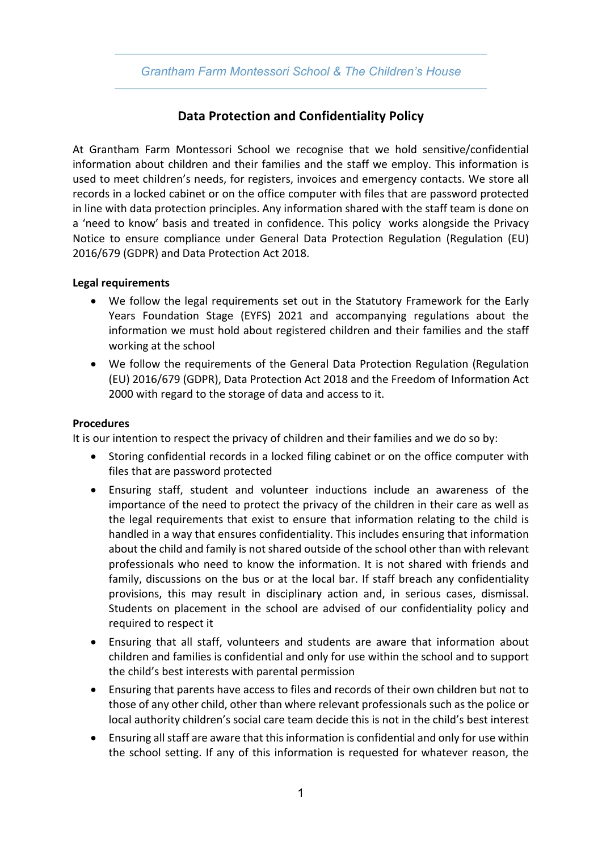# *Grantham Farm Montessori School & The Children's House*

# **Data Protection and Confidentiality Policy**

At Grantham Farm Montessori School we recognise that we hold sensitive/confidential information about children and their families and the staff we employ. This information is used to meet children's needs, for registers, invoices and emergency contacts. We store all records in a locked cabinet or on the office computer with files that are password protected in line with data protection principles. Any information shared with the staff team is done on a 'need to know' basis and treated in confidence. This policy works alongside the Privacy Notice to ensure compliance under General Data Protection Regulation (Regulation (EU) 2016/679 (GDPR) and Data Protection Act 2018.

### **Legal requirements**

- We follow the legal requirements set out in the Statutory Framework for the Early Years Foundation Stage (EYFS) 2021 and accompanying regulations about the information we must hold about registered children and their families and the staff working at the school
- We follow the requirements of the General Data Protection Regulation (Regulation (EU) 2016/679 (GDPR), Data Protection Act 2018 and the Freedom of Information Act 2000 with regard to the storage of data and access to it.

### **Procedures**

It is our intention to respect the privacy of children and their families and we do so by:

- Storing confidential records in a locked filing cabinet or on the office computer with files that are password protected
- Ensuring staff, student and volunteer inductions include an awareness of the importance of the need to protect the privacy of the children in their care as well as the legal requirements that exist to ensure that information relating to the child is handled in a way that ensures confidentiality. This includes ensuring that information about the child and family is not shared outside of the school other than with relevant professionals who need to know the information. It is not shared with friends and family, discussions on the bus or at the local bar. If staff breach any confidentiality provisions, this may result in disciplinary action and, in serious cases, dismissal. Students on placement in the school are advised of our confidentiality policy and required to respect it
- Ensuring that all staff, volunteers and students are aware that information about children and families is confidential and only for use within the school and to support the child's best interests with parental permission
- Ensuring that parents have access to files and records of their own children but not to those of any other child, other than where relevant professionals such as the police or local authority children's social care team decide this is not in the child's best interest
- Ensuring all staff are aware that this information is confidential and only for use within the school setting. If any of this information is requested for whatever reason, the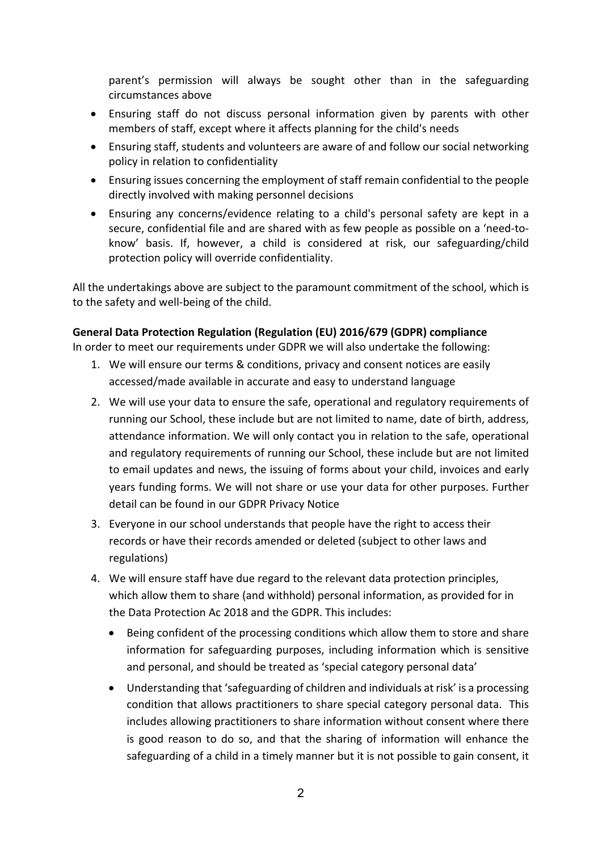parent's permission will always be sought other than in the safeguarding circumstances above

- Ensuring staff do not discuss personal information given by parents with other members of staff, except where it affects planning for the child's needs
- Ensuring staff, students and volunteers are aware of and follow our social networking policy in relation to confidentiality
- Ensuring issues concerning the employment of staff remain confidential to the people directly involved with making personnel decisions
- Ensuring any concerns/evidence relating to a child's personal safety are kept in a secure, confidential file and are shared with as few people as possible on a 'need-toknow' basis. If, however, a child is considered at risk, our safeguarding/child protection policy will override confidentiality.

All the undertakings above are subject to the paramount commitment of the school, which is to the safety and well-being of the child.

### **General Data Protection Regulation (Regulation (EU) 2016/679 (GDPR) compliance**

In order to meet our requirements under GDPR we will also undertake the following:

- 1. We will ensure our terms & conditions, privacy and consent notices are easily accessed/made available in accurate and easy to understand language
- 2. We will use your data to ensure the safe, operational and regulatory requirements of running our School, these include but are not limited to name, date of birth, address, attendance information. We will only contact you in relation to the safe, operational and regulatory requirements of running our School, these include but are not limited to email updates and news, the issuing of forms about your child, invoices and early years funding forms. We will not share or use your data for other purposes. Further detail can be found in our GDPR Privacy Notice
- 3. Everyone in our school understands that people have the right to access their records or have their records amended or deleted (subject to other laws and regulations)
- 4. We will ensure staff have due regard to the relevant data protection principles, which allow them to share (and withhold) personal information, as provided for in the Data Protection Ac 2018 and the GDPR. This includes:
	- Being confident of the processing conditions which allow them to store and share information for safeguarding purposes, including information which is sensitive and personal, and should be treated as 'special category personal data'
	- Understanding that 'safeguarding of children and individuals at risk' is a processing condition that allows practitioners to share special category personal data. This includes allowing practitioners to share information without consent where there is good reason to do so, and that the sharing of information will enhance the safeguarding of a child in a timely manner but it is not possible to gain consent, it